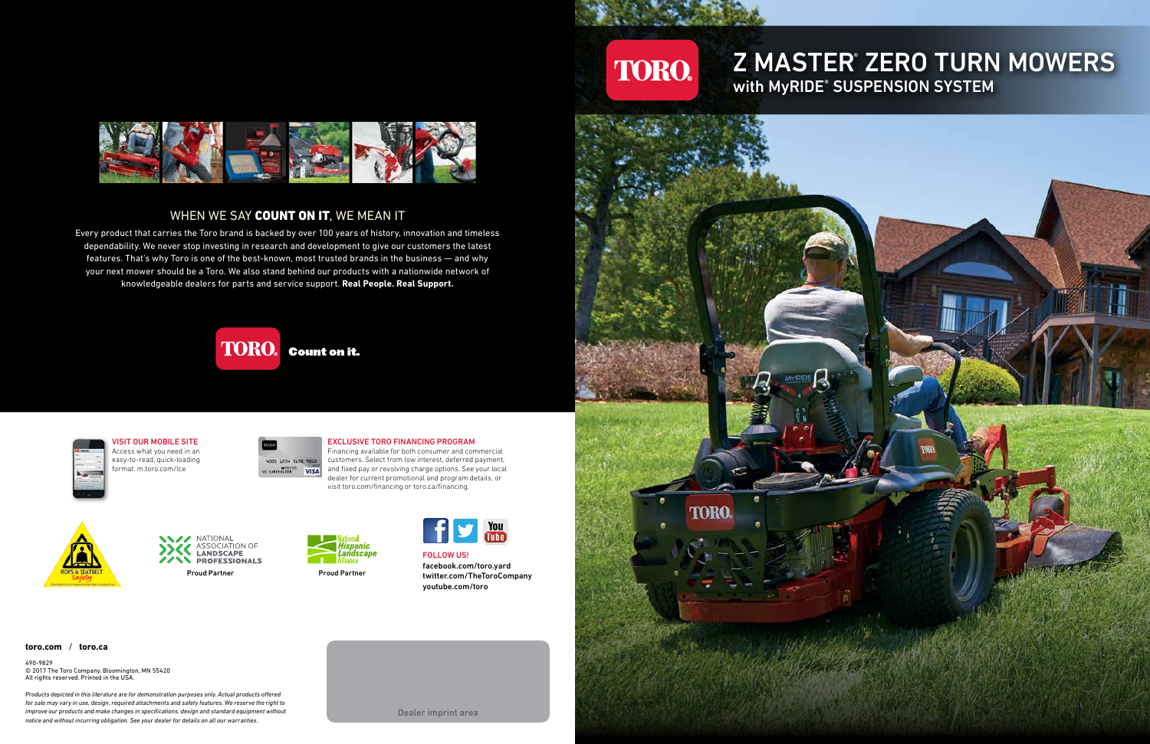

### WHEN WE SAY COUNT ON IT, WE MEAN IT

## **Z MASTER ZERO TURN MOWERS** with MyRIDE® SUSPENSION SYSTEM



#### **toro.com** / **toro.ca**

490-9829 © 2017 The Toro Company. Bloomington, MN 55420 All rights reserved. Printed in the USA.

*Products depicted in this literature are for demonstration purposes only. Actual products offered for sale may vary in use, design, required attachments and safety features. We reserve the right to improve our products and make changes in specifications, design and standard equipment without notice and without incurring obligation. See your dealer for details on all our warranties.*

Dealer imprint area

Financing available for both consumer and commercial customers. Select from low interest, deferred payment, and fixed pay or revolving charge options. See your local dealer for current promotional and program details, or visit toro.com/financing or toro.ca/financing. VISIT OUR MOBILE SITE<br>
Access What you need in an<br>
easy-to-read, quick-loading<br>
format. m.toro.com/lce<br>
FROM TORO FINANCING PROGR<br>
FINANCING PROGRAMCING PROGRAMCING PROGRAMCING PROGRAMCING PROGRAMCING PROGRAMCING PROGRAMCI VISIT OUR MOBILE SITE<br>
Access what you need in an<br>
easy-to-read, quick-loading<br>
format. m.toro.com/lce<br>
Financial and fixed pay or revolving charge options<br>
(VISA) and fixed pay or revolving charge options<br>
visit toro.com/ VISIT OUR MOBILE SITE<br>Access what you need in an<br>easy-to-read, quick-loading<br>format. m.toro.com/lee<br>format. m.toro.com/lee<br>the state of the state of the state of the state of the state of the state of the state of the stat VISIT OUR MOBILE SITE<br>Access what you need in an<br>format, quick-loading<br>format, m.toro.com/lce<br>format m.toro.com/lce<br>expansiles to the case of the second of the case of the case of the case of the second of the second and p VISIT OUR MOBILE SITE<br>
Access what you need in an<br>
easy-to-read, quick-loading<br>
format. m.toro.com/lce<br>
Financing available for both consumer and consumers and format interest, deferred<br>
of the scars of the scars of the co VISIT OUR MOBILE SITE<br>
Access what you need in an<br>
easy-to-read, quick-loading<br>
format. m.toro.com/lce<br>
format. m.toro.com/lce<br>
easy of the computation of the computation of the computation of the computation of the comput VISIT OUR MOBILE SITE<br>
Access what you need in an<br>
easy-to-read, quick-loading<br>
format. m.toro.com/lce<br>
format. m.toro.com/lce<br>
Financing available for both consumer and com-<br>
stars and fixed pay or revolving charge option VISIT OUR MOBILE SITE<br>
Access what you need in an<br>
easy-to-read, quick-loading<br>
format. m.toro.com/lce<br>
format. m.toro.com/lce<br>
we can be served the control of the control on the property of the control of the control of t FROM THE Access what you need in an easy-to-read, quick-loading<br>
excess what you need in an easy-to-read, quick-loading<br>
format. m.toro.com/lce<br>
for current promotional and fixed pay or revolving charge options. See you<br>
d NOT MURING PROGRAM<br>
MATIONAL MATIONAL PROGRAM FINANCING PROGRAM<br>
MATIONAL MATIONAL PROFESSIONALS<br>
PROFESSIONALS<br>
PROFESSIONALS<br>
PROFESSIONALS<br>
PROFESSIONALS<br>
PROFESSIONALS<br>
PROFESSIONALS<br>
PROFESSIONALS<br>
PROFESSIONALS<br>
PROF COSES What you need in an<br>
say-to-read, quick-loading<br>
say-to-read, quick-loading<br>
say-to-read, quick-loading<br>
say-age and itself counters. Select from low interest, deferred payme<br>
dealer for current promotional and progr Notice of the property of the case of the case of the case of the case of the case of the case of the case of the case of the case of the case of the case of the case of the case of the case of the case of the case of the FROM PRINTING PROPERTY CONTROLL CONTROLL CONTROLL CONTROLL CONTROLL CONTROLL CONTROLL CONTROLL CONTROLL CONTROLL CONTROLL CONTROLL CONTROLL CONTROLL CONTROLL CONTROLL CONTROLL CONTROLL CONTROLL CONTROLL CONTROLL CONTROLL C



Every product that carries the Toro brand is backed by over 100 years of history, innovation and timeless dependability. We never stop investing in research and development to give our customers the latest features. That's why Toro is one of the best-known, most trusted brands in the business — and why your next mower should be a Toro. We also stand behind our products with a nationwide network of knowledgeable dealers for parts and service support. **Real People. Real Support.**

> FOLLOW US! facebook.com/toro.yard twitter.com/TheToroCompany youtube.com/toro

VISIT OUR MOBILE SITE Access what you need in an easy-to-read, quick-loading format. m.toro.com/lce



### EXCLUSIVE TORO FINANCING PROGRAM







Proud Partner **Proud Partner** 





**TORO.** 

**TORO**